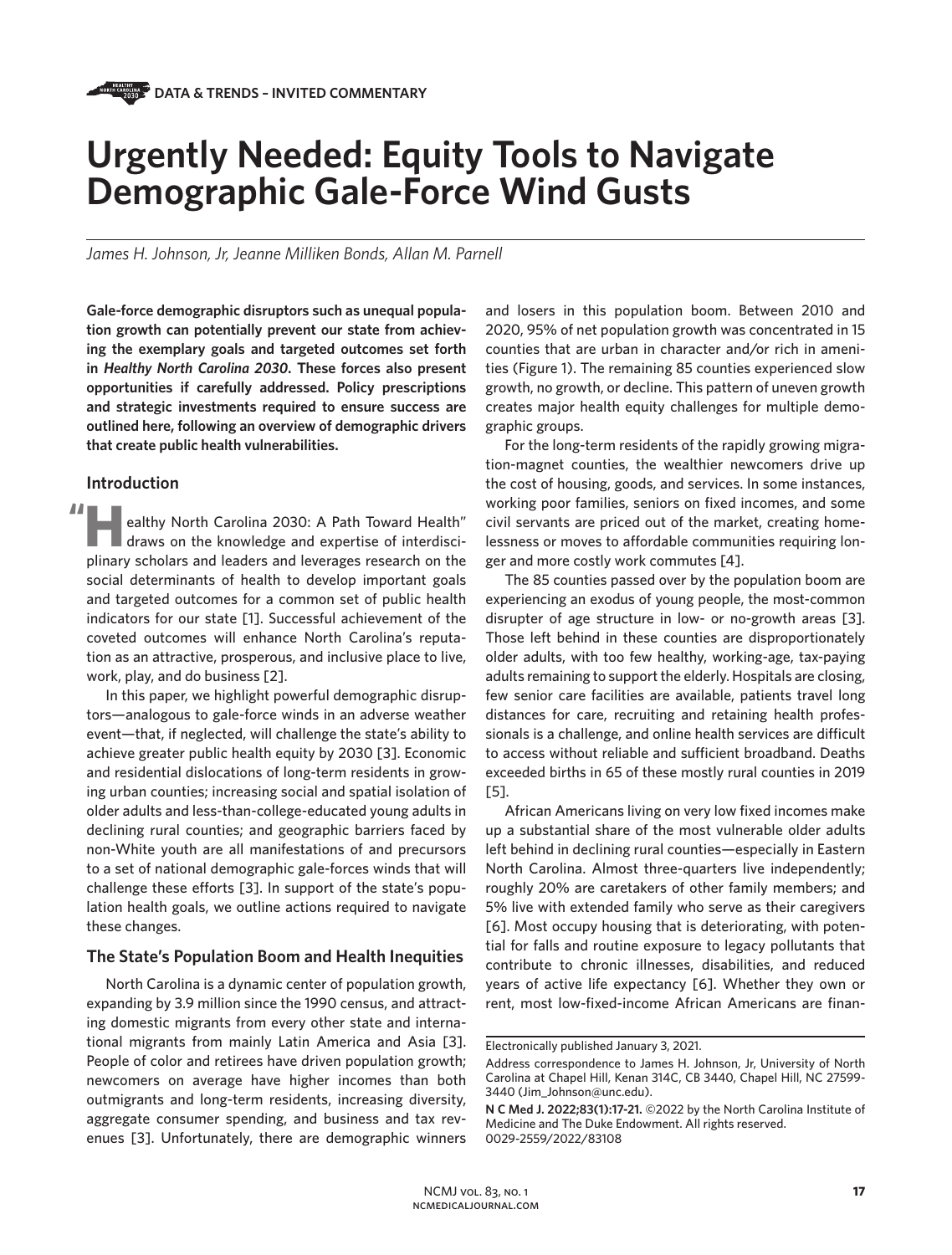# **Urgently Needed: Equity Tools to Navigate Demographic Gale-Force Wind Gusts**

*James H. Johnson, Jr, Jeanne Milliken Bonds, Allan M. Parnell* 

**Gale-force demographic disruptors such as unequal population growth can potentially prevent our state from achieving the exemplary goals and targeted outcomes set forth in** *Healthy North Carolina 2030***. These forces also present opportunities if carefully addressed. Policy prescriptions and strategic investments required to ensure success are outlined here, following an overview of demographic drivers that create public health vulnerabilities.** 

## **Introduction**

ealthy North Carolina 2030: A Path Toward Health" draws on the knowledge and expertise of interdisci**planet and leaders and leverages research on the knowledge and expertise of interdisciplinary scholars and leaders and leverages research on the** social determinants of health to develop important goals and targeted outcomes for a common set of public health indicators for our state [1]. Successful achievement of the coveted outcomes will enhance North Carolina's reputation as an attractive, prosperous, and inclusive place to live, work, play, and do business [2]. **"**

In this paper, we highlight powerful demographic disruptors—analogous to gale-force winds in an adverse weather event—that, if neglected, will challenge the state's ability to achieve greater public health equity by 2030 [3]. Economic and residential dislocations of long-term residents in growing urban counties; increasing social and spatial isolation of older adults and less-than-college-educated young adults in declining rural counties; and geographic barriers faced by non-White youth are all manifestations of and precursors to a set of national demographic gale-forces winds that will challenge these efforts [3]. In support of the state's population health goals, we outline actions required to navigate these changes.

### **The State's Population Boom and Health Inequities**

North Carolina is a dynamic center of population growth, expanding by 3.9 million since the 1990 census, and attracting domestic migrants from every other state and international migrants from mainly Latin America and Asia [3]. People of color and retirees have driven population growth; newcomers on average have higher incomes than both outmigrants and long-term residents, increasing diversity, aggregate consumer spending, and business and tax revenues [3]. Unfortunately, there are demographic winners

and losers in this population boom. Between 2010 and 2020, 95% of net population growth was concentrated in 15 counties that are urban in character and/or rich in amenities (Figure 1). The remaining 85 counties experienced slow growth, no growth, or decline. This pattern of uneven growth creates major health equity challenges for multiple demographic groups.

For the long-term residents of the rapidly growing migration-magnet counties, the wealthier newcomers drive up the cost of housing, goods, and services. In some instances, working poor families, seniors on fixed incomes, and some civil servants are priced out of the market, creating homelessness or moves to affordable communities requiring longer and more costly work commutes [4].

The 85 counties passed over by the population boom are experiencing an exodus of young people, the most-common disrupter of age structure in low- or no-growth areas [3]. Those left behind in these counties are disproportionately older adults, with too few healthy, working-age, tax-paying adults remaining to support the elderly. Hospitals are closing, few senior care facilities are available, patients travel long distances for care, recruiting and retaining health professionals is a challenge, and online health services are difficult to access without reliable and sufficient broadband. Deaths exceeded births in 65 of these mostly rural counties in 2019 [5].

African Americans living on very low fixed incomes make up a substantial share of the most vulnerable older adults left behind in declining rural counties—especially in Eastern North Carolina. Almost three-quarters live independently; roughly 20% are caretakers of other family members; and 5% live with extended family who serve as their caregivers [6]. Most occupy housing that is deteriorating, with potential for falls and routine exposure to legacy pollutants that contribute to chronic illnesses, disabilities, and reduced years of active life expectancy [6]. Whether they own or rent, most low-fixed-income African Americans are finan-

Electronically published January 3, 2021.

Address correspondence to James H. Johnson, Jr, University of North Carolina at Chapel Hill, Kenan 314C, CB 3440, Chapel Hill, NC 27599- 3440 (Jim\_Johnson@unc.edu).

**N C Med J. 2022;83(1):17-21.** ©2022 by the North Carolina Institute of Medicine and The Duke Endowment. All rights reserved. 0029-2559/2022/83108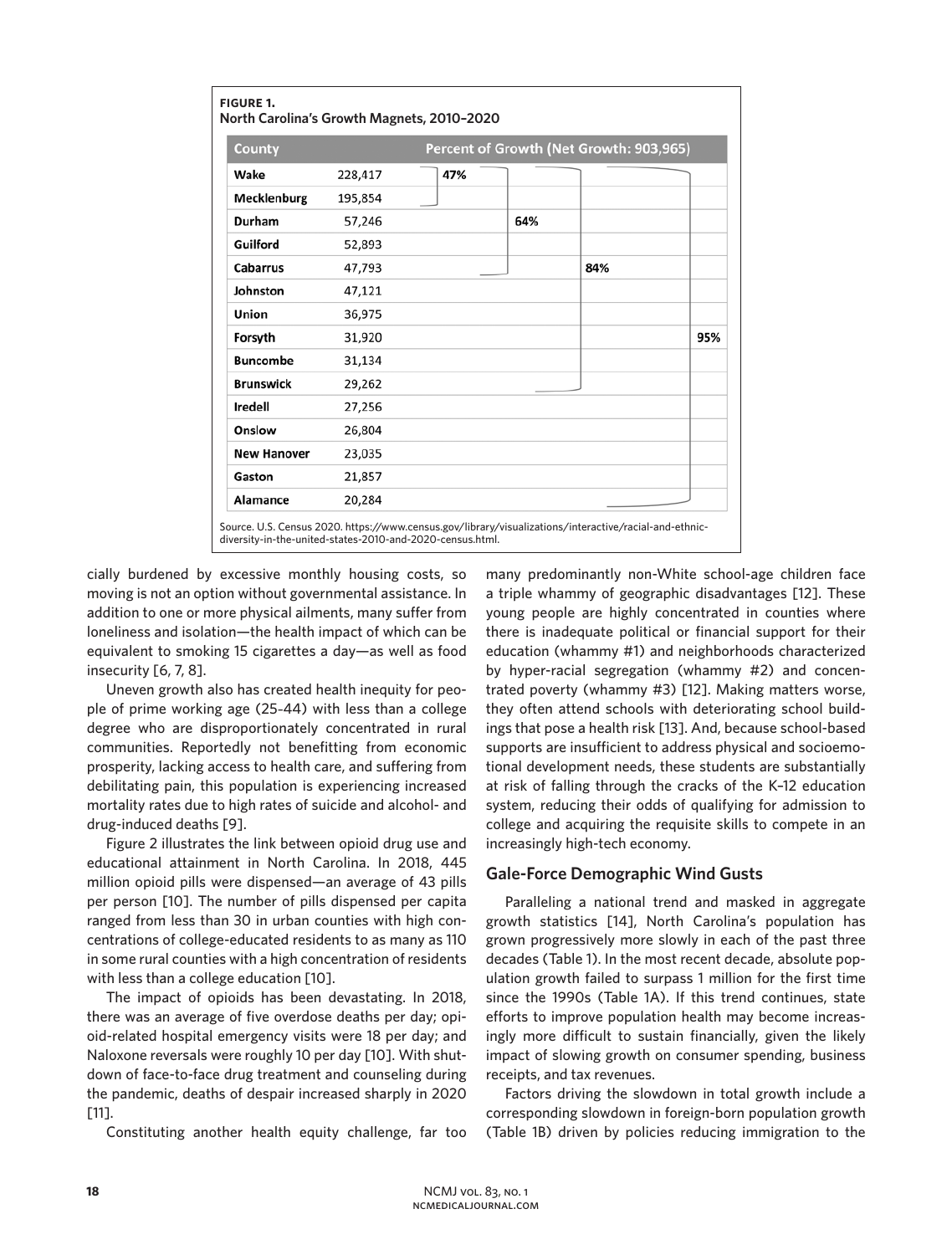| County             | Percent of Growth (Net Growth: 903,965) |     |     |     |     |
|--------------------|-----------------------------------------|-----|-----|-----|-----|
| Wake               | 228,417                                 | 47% |     |     |     |
| Mecklenburg        | 195,854                                 |     |     |     |     |
| Durham             | 57,246                                  |     | 64% |     |     |
| Guilford           | 52,893                                  |     |     |     |     |
| Cabarrus           | 47,793                                  |     |     | 84% |     |
| Johnston           | 47,121                                  |     |     |     |     |
| Union              | 36,975                                  |     |     |     |     |
| Forsyth            | 31,920                                  |     |     |     | 95% |
| <b>Buncombe</b>    | 31,134                                  |     |     |     |     |
| <b>Brunswick</b>   | 29,262                                  |     |     |     |     |
| <b>Iredell</b>     | 27,256                                  |     |     |     |     |
| Onslow             | 26,804                                  |     |     |     |     |
| <b>New Hanover</b> | 23,035                                  |     |     |     |     |
| Gaston             | 21,857                                  |     |     |     |     |
| Alamance           | 20,284                                  |     |     |     |     |

diversity-in-the-united-states-2010-and-2020-census.html.

cially burdened by excessive monthly housing costs, so moving is not an option without governmental assistance. In addition to one or more physical ailments, many suffer from loneliness and isolation—the health impact of which can be equivalent to smoking 15 cigarettes a day—as well as food insecurity [6, 7, 8].

Uneven growth also has created health inequity for people of prime working age (25–44) with less than a college degree who are disproportionately concentrated in rural communities. Reportedly not benefitting from economic prosperity, lacking access to health care, and suffering from debilitating pain, this population is experiencing increased mortality rates due to high rates of suicide and alcohol- and drug-induced deaths [9].

Figure 2 illustrates the link between opioid drug use and educational attainment in North Carolina. In 2018, 445 million opioid pills were dispensed—an average of 43 pills per person [10]. The number of pills dispensed per capita ranged from less than 30 in urban counties with high concentrations of college-educated residents to as many as 110 in some rural counties with a high concentration of residents with less than a college education [10].

The impact of opioids has been devastating. In 2018, there was an average of five overdose deaths per day; opioid-related hospital emergency visits were 18 per day; and Naloxone reversals were roughly 10 per day [10]. With shutdown of face-to-face drug treatment and counseling during the pandemic, deaths of despair increased sharply in 2020 [11].

Constituting another health equity challenge, far too

many predominantly non-White school-age children face a triple whammy of geographic disadvantages [12]. These young people are highly concentrated in counties where there is inadequate political or financial support for their education (whammy #1) and neighborhoods characterized by hyper-racial segregation (whammy #2) and concentrated poverty (whammy #3) [12]. Making matters worse, they often attend schools with deteriorating school buildings that pose a health risk [13]. And, because school-based supports are insufficient to address physical and socioemotional development needs, these students are substantially at risk of falling through the cracks of the K–12 education system, reducing their odds of qualifying for admission to college and acquiring the requisite skills to compete in an increasingly high-tech economy.

# **Gale-Force Demographic Wind Gusts**

Paralleling a national trend and masked in aggregate growth statistics [14], North Carolina's population has grown progressively more slowly in each of the past three decades (Table 1). In the most recent decade, absolute population growth failed to surpass 1 million for the first time since the 1990s (Table 1A). If this trend continues, state efforts to improve population health may become increasingly more difficult to sustain financially, given the likely impact of slowing growth on consumer spending, business receipts, and tax revenues.

Factors driving the slowdown in total growth include a corresponding slowdown in foreign-born population growth (Table 1B) driven by policies reducing immigration to the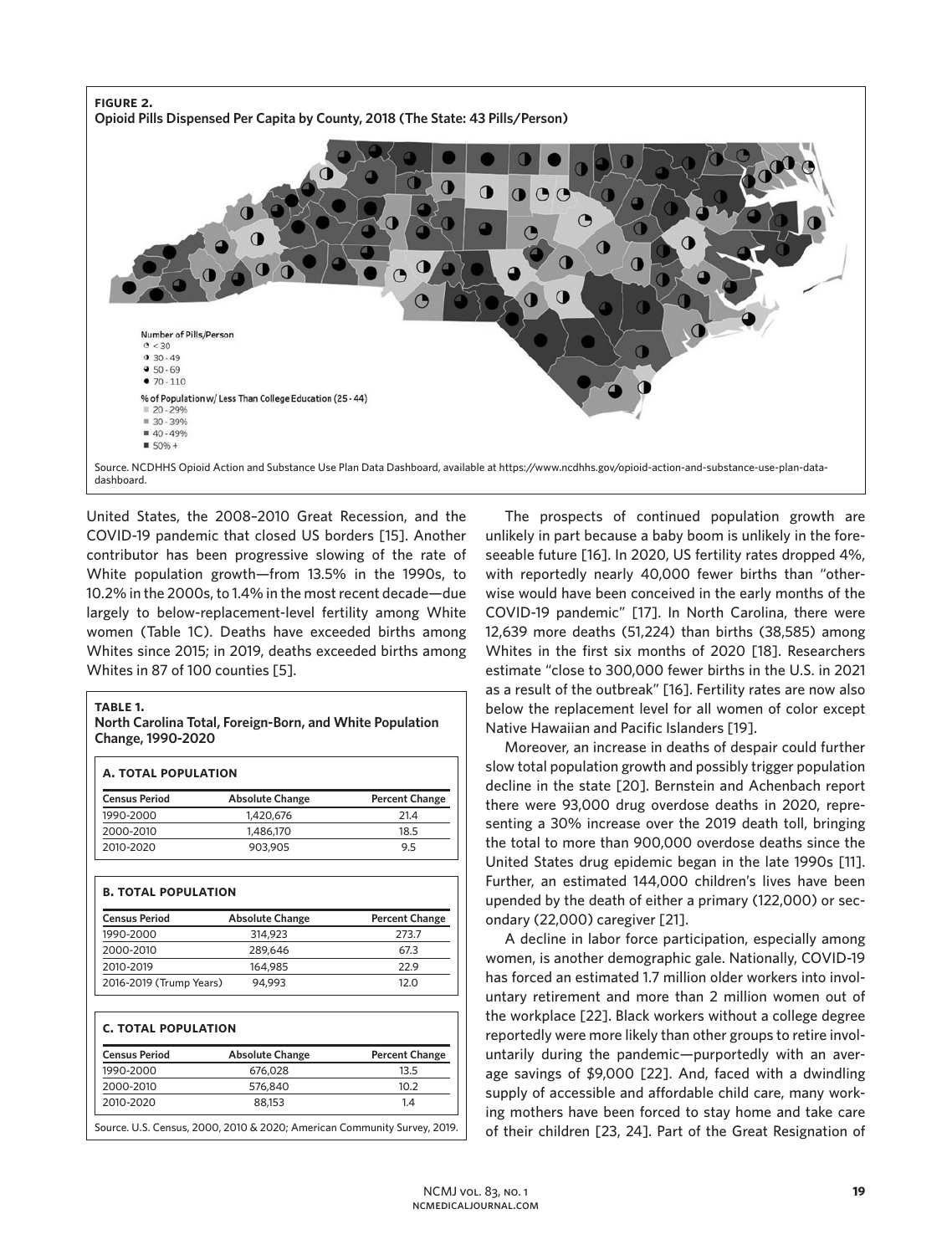

United States, the 2008–2010 Great Recession, and the COVID-19 pandemic that closed US borders [15]. Another contributor has been progressive slowing of the rate of White population growth—from 13.5% in the 1990s, to 10.2% in the 2000s, to 1.4% in the most recent decade—due largely to below-replacement-level fertility among White women (Table 1C). Deaths have exceeded births among Whites since 2015; in 2019, deaths exceeded births among Whites in 87 of 100 counties [5].

#### **table 1.**

#### **North Carolina Total, Foreign-Born, and White Population Change, 1990-2020**

| <b>Census Period</b>       | <b>Absolute Change</b> | <b>Percent Change</b> |  |
|----------------------------|------------------------|-----------------------|--|
| 1990-2000                  | 1,420,676              | 21.4                  |  |
| 2000-2010                  | 1,486,170              | 18.5                  |  |
| 2010-2020                  | 903,905                | 9.5                   |  |
| <b>B. TOTAL POPULATION</b> |                        |                       |  |
| <b>Census Period</b>       | <b>Absolute Change</b> | <b>Percent Change</b> |  |
| 1990-2000                  | 314,923                | 273.7                 |  |
| 2000-2010                  | 289,646                | 67.3                  |  |
| 2010-2019                  | 164,985                | 22.9                  |  |
| 2016-2019 (Trump Years)    | 94,993                 | 12.0                  |  |
| <b>C. TOTAL POPULATION</b> |                        |                       |  |
| <b>Census Period</b>       | <b>Absolute Change</b> | <b>Percent Change</b> |  |
| 1990-2000                  | 676,028                | 13.5                  |  |
| 2000-2010                  | 576,840                | 10.2                  |  |
| 2010-2020                  | 88,153                 | 1.4                   |  |

Source. U.S. Census, 2000, 2010 & 2020; American Community Survey, 2019.

The prospects of continued population growth are unlikely in part because a baby boom is unlikely in the foreseeable future [16]. In 2020, US fertility rates dropped 4%, with reportedly nearly 40,000 fewer births than "otherwise would have been conceived in the early months of the COVID-19 pandemic" [17]. In North Carolina, there were 12,639 more deaths (51,224) than births (38,585) among Whites in the first six months of 2020 [18]. Researchers estimate "close to 300,000 fewer births in the U.S. in 2021 as a result of the outbreak" [16]. Fertility rates are now also below the replacement level for all women of color except Native Hawaiian and Pacific Islanders [19].

Moreover, an increase in deaths of despair could further slow total population growth and possibly trigger population decline in the state [20]. Bernstein and Achenbach report there were 93,000 drug overdose deaths in 2020, representing a 30% increase over the 2019 death toll, bringing the total to more than 900,000 overdose deaths since the United States drug epidemic began in the late 1990s [11]. Further, an estimated 144,000 children's lives have been upended by the death of either a primary (122,000) or secondary (22,000) caregiver [21].

A decline in labor force participation, especially among women, is another demographic gale. Nationally, COVID-19 has forced an estimated 1.7 million older workers into involuntary retirement and more than 2 million women out of the workplace [22]. Black workers without a college degree reportedly were more likely than other groups to retire involuntarily during the pandemic—purportedly with an average savings of \$9,000 [22]. And, faced with a dwindling supply of accessible and affordable child care, many working mothers have been forced to stay home and take care of their children [23, 24]. Part of the Great Resignation of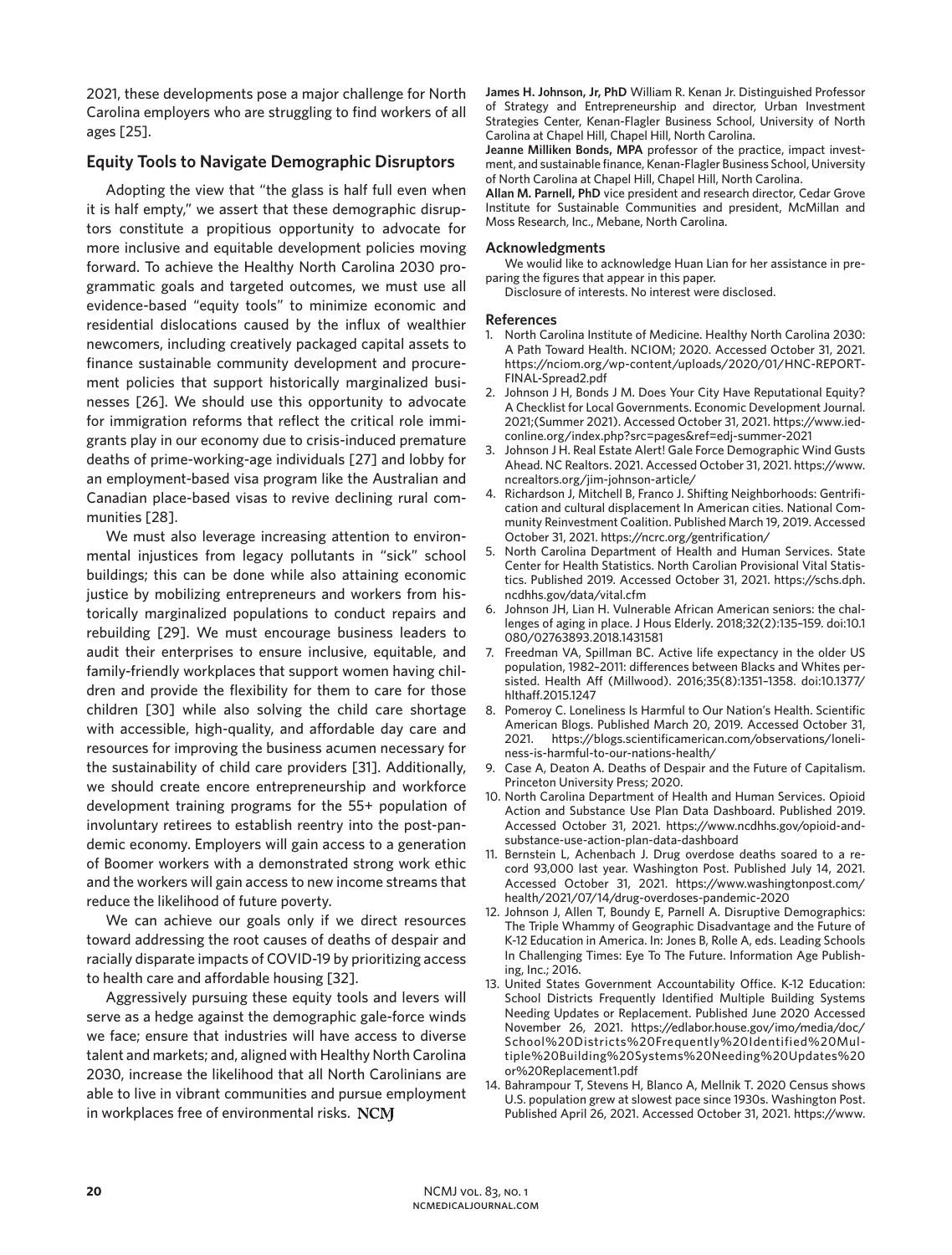2021, these developments pose a major challenge for North Carolina employers who are struggling to find workers of all ages [25].

# **Equity Tools to Navigate Demographic Disruptors**

Adopting the view that "the glass is half full even when it is half empty," we assert that these demographic disruptors constitute a propitious opportunity to advocate for more inclusive and equitable development policies moving forward. To achieve the Healthy North Carolina 2030 programmatic goals and targeted outcomes, we must use all evidence-based "equity tools" to minimize economic and residential dislocations caused by the influx of wealthier newcomers, including creatively packaged capital assets to finance sustainable community development and procurement policies that support historically marginalized businesses [26]. We should use this opportunity to advocate for immigration reforms that reflect the critical role immigrants play in our economy due to crisis-induced premature deaths of prime-working-age individuals [27] and lobby for an employment-based visa program like the Australian and Canadian place-based visas to revive declining rural communities [28].

We must also leverage increasing attention to environmental injustices from legacy pollutants in "sick" school buildings; this can be done while also attaining economic justice by mobilizing entrepreneurs and workers from historically marginalized populations to conduct repairs and rebuilding [29]. We must encourage business leaders to audit their enterprises to ensure inclusive, equitable, and family-friendly workplaces that support women having children and provide the flexibility for them to care for those children [30] while also solving the child care shortage with accessible, high-quality, and affordable day care and resources for improving the business acumen necessary for the sustainability of child care providers [31]. Additionally, we should create encore entrepreneurship and workforce development training programs for the 55+ population of involuntary retirees to establish reentry into the post-pandemic economy. Employers will gain access to a generation of Boomer workers with a demonstrated strong work ethic and the workers will gain access to new income streams that reduce the likelihood of future poverty.

We can achieve our goals only if we direct resources toward addressing the root causes of deaths of despair and racially disparate impacts of COVID-19 by prioritizing access to health care and affordable housing [32].

Aggressively pursuing these equity tools and levers will serve as a hedge against the demographic gale-force winds we face; ensure that industries will have access to diverse talent and markets; and, aligned with Healthy North Carolina 2030, increase the likelihood that all North Carolinians are able to live in vibrant communities and pursue employment in workplaces free of environmental risks. NCM

**James H. Johnson, Jr, PhD** William R. Kenan Jr. Distinguished Professor of Strategy and Entrepreneurship and director, Urban Investment Strategies Center, Kenan-Flagler Business School, University of North Carolina at Chapel Hill, Chapel Hill, North Carolina.

**Jeanne Milliken Bonds, MPA** professor of the practice, impact investment, and sustainable finance, Kenan-Flagler Business School, University of North Carolina at Chapel Hill, Chapel Hill, North Carolina.

**Allan M. Parnell, PhD** vice president and research director, Cedar Grove Institute for Sustainable Communities and president, McMillan and Moss Research, Inc., Mebane, North Carolina.

#### **Acknowledgments**

We woulid like to acknowledge Huan Lian for her assistance in preparing the figures that appear in this paper.

Disclosure of interests. No interest were disclosed.

#### **References**

- 1. North Carolina Institute of Medicine. Healthy North Carolina 2030: A Path Toward Health. NCIOM; 2020. Accessed October 31, 2021. https://nciom.org/wp-content/uploads/2020/01/HNC-REPORT-FINAL-Spread2.pdf
- 2. Johnson J H, Bonds J M. Does Your City Have Reputational Equity? A Checklist for Local Governments. Economic Development Journal. 2021;(Summer 2021). Accessed October 31, 2021. https://www.iedconline.org/index.php?src=pages&ref=edj-summer-2021
- 3. Johnson J H. Real Estate Alert! Gale Force Demographic Wind Gusts Ahead. NC Realtors. 2021. Accessed October 31, 2021. https://www. ncrealtors.org/jim-johnson-article/
- 4. Richardson J, Mitchell B, Franco J. Shifting Neighborhoods: Gentrification and cultural displacement In American cities. National Community Reinvestment Coalition. Published March 19, 2019. Accessed October 31, 2021. https://ncrc.org/gentrification/
- 5. North Carolina Department of Health and Human Services. State Center for Health Statistics. North Carolian Provisional Vital Statistics. Published 2019. Accessed October 31, 2021. https://schs.dph. ncdhhs.gov/data/vital.cfm
- 6. Johnson JH, Lian H. Vulnerable African American seniors: the challenges of aging in place. J Hous Elderly. 2018;32(2):135–159. doi:10.1 080/02763893.2018.1431581
- 7. Freedman VA, Spillman BC. Active life expectancy in the older US population, 1982–2011: differences between Blacks and Whites persisted. Health Aff (Millwood). 2016;35(8):1351–1358. doi:10.1377/ hlthaff.2015.1247
- 8. Pomeroy C. Loneliness Is Harmful to Our Nation's Health. Scientific American Blogs. Published March 20, 2019. Accessed October 31, 2021. https://blogs.scientificamerican.com/observations/loneliness-is-harmful-to-our-nations-health/
- 9. Case A, Deaton A. Deaths of Despair and the Future of Capitalism. Princeton University Press; 2020.
- 10. North Carolina Department of Health and Human Services. Opioid Action and Substance Use Plan Data Dashboard. Published 2019. Accessed October 31, 2021. https://www.ncdhhs.gov/opioid-andsubstance-use-action-plan-data-dashboard
- 11. Bernstein L, Achenbach J. Drug overdose deaths soared to a record 93,000 last year. Washington Post. Published July 14, 2021. Accessed October 31, 2021. https://www.washingtonpost.com/ health/2021/07/14/drug-overdoses-pandemic-2020
- 12. Johnson J, Allen T, Boundy E, Parnell A. Disruptive Demographics: The Triple Whammy of Geographic Disadvantage and the Future of K-12 Education in America. In: Jones B, Rolle A, eds. Leading Schools In Challenging Times: Eye To The Future. Information Age Publishing, Inc.; 2016.
- 13. United States Government Accountability Office. K-12 Education: School Districts Frequently Identified Multiple Building Systems Needing Updates or Replacement. Published June 2020 Accessed November 26, 2021. https://edlabor.house.gov/imo/media/doc/ School%20Districts%20Frequently%20Identified%20Multiple%20Building%20Systems%20Needing%20Updates%20 or%20Replacement1.pdf
- 14. Bahrampour T, Stevens H, Blanco A, Mellnik T. 2020 Census shows U.S. population grew at slowest pace since 1930s. Washington Post. Published April 26, 2021. Accessed October 31, 2021. https://www.